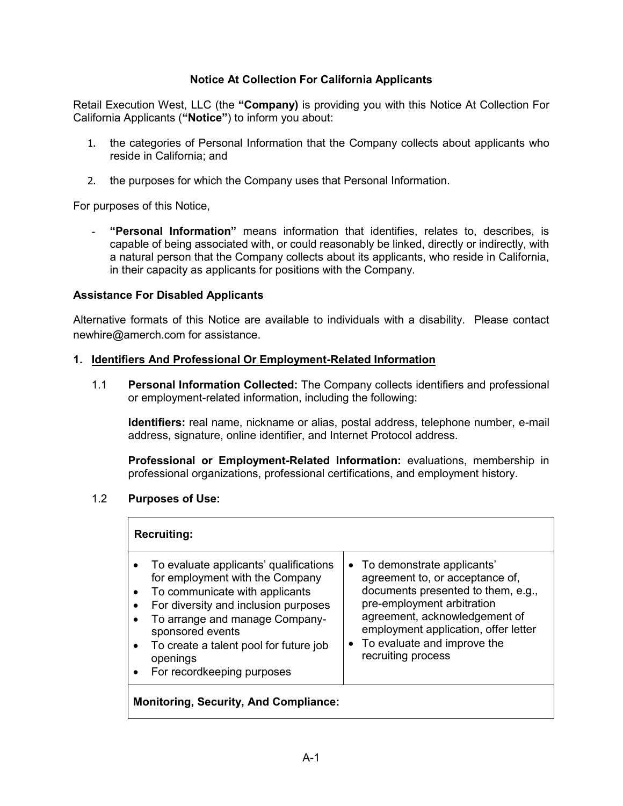### **Notice At Collection For California Applicants**

Retail Execution West, LLC (the **"Company)** is providing you with this Notice At Collection For California Applicants (**"Notice"**) to inform you about:

- 1. the categories of Personal Information that the Company collects about applicants who reside in California; and
- 2. the purposes for which the Company uses that Personal Information.

For purposes of this Notice,

- **"Personal Information"** means information that identifies, relates to, describes, is capable of being associated with, or could reasonably be linked, directly or indirectly, with a natural person that the Company collects about its applicants, who reside in California, in their capacity as applicants for positions with the Company.

#### **Assistance For Disabled Applicants**

Alternative formats of this Notice are available to individuals with a disability. Please contact newhire@amerch.com for assistance.

#### **1. Identifiers And Professional Or Employment-Related Information**

1.1 **Personal Information Collected:** The Company collects identifiers and professional or employment-related information, including the following:

**Identifiers:** real name, nickname or alias, postal address, telephone number, e-mail address, signature, online identifier, and Internet Protocol address.

**Professional or Employment-Related Information:** evaluations, membership in professional organizations, professional certifications, and employment history.

### 1.2 **Purposes of Use:**

| <b>Recruiting:</b>                           |                                                                                                                                                                                                                                                                                               |                                                                                                                                                                                                                                                                   |
|----------------------------------------------|-----------------------------------------------------------------------------------------------------------------------------------------------------------------------------------------------------------------------------------------------------------------------------------------------|-------------------------------------------------------------------------------------------------------------------------------------------------------------------------------------------------------------------------------------------------------------------|
| $\bullet$<br>$\bullet$                       | To evaluate applicants' qualifications<br>for employment with the Company<br>To communicate with applicants<br>For diversity and inclusion purposes<br>To arrange and manage Company-<br>sponsored events<br>To create a talent pool for future job<br>openings<br>For recordkeeping purposes | • To demonstrate applicants'<br>agreement to, or acceptance of,<br>documents presented to them, e.g.,<br>pre-employment arbitration<br>agreement, acknowledgement of<br>employment application, offer letter<br>To evaluate and improve the<br>recruiting process |
| <b>Monitoring, Security, And Compliance:</b> |                                                                                                                                                                                                                                                                                               |                                                                                                                                                                                                                                                                   |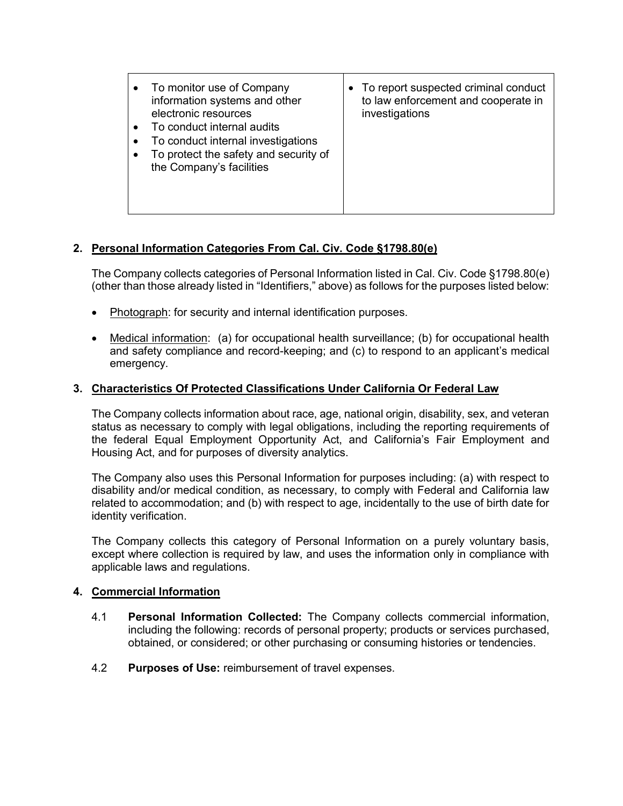# **2. Personal Information Categories From Cal. Civ. Code §1798.80(e)**

The Company collects categories of Personal Information listed in Cal. Civ. Code §1798.80(e) (other than those already listed in "Identifiers," above) as follows for the purposes listed below:

- Photograph: for security and internal identification purposes.
- Medical information: (a) for occupational health surveillance; (b) for occupational health and safety compliance and record-keeping; and (c) to respond to an applicant's medical emergency.

# **3. Characteristics Of Protected Classifications Under California Or Federal Law**

The Company collects information about race, age, national origin, disability, sex, and veteran status as necessary to comply with legal obligations, including the reporting requirements of the federal Equal Employment Opportunity Act, and California's Fair Employment and Housing Act, and for purposes of diversity analytics.

The Company also uses this Personal Information for purposes including: (a) with respect to disability and/or medical condition, as necessary, to comply with Federal and California law related to accommodation; and (b) with respect to age, incidentally to the use of birth date for identity verification.

The Company collects this category of Personal Information on a purely voluntary basis, except where collection is required by law, and uses the information only in compliance with applicable laws and regulations.

# **4. Commercial Information**

- 4.1 **Personal Information Collected:** The Company collects commercial information, including the following: records of personal property; products or services purchased, obtained, or considered; or other purchasing or consuming histories or tendencies.
- 4.2 **Purposes of Use:** reimbursement of travel expenses.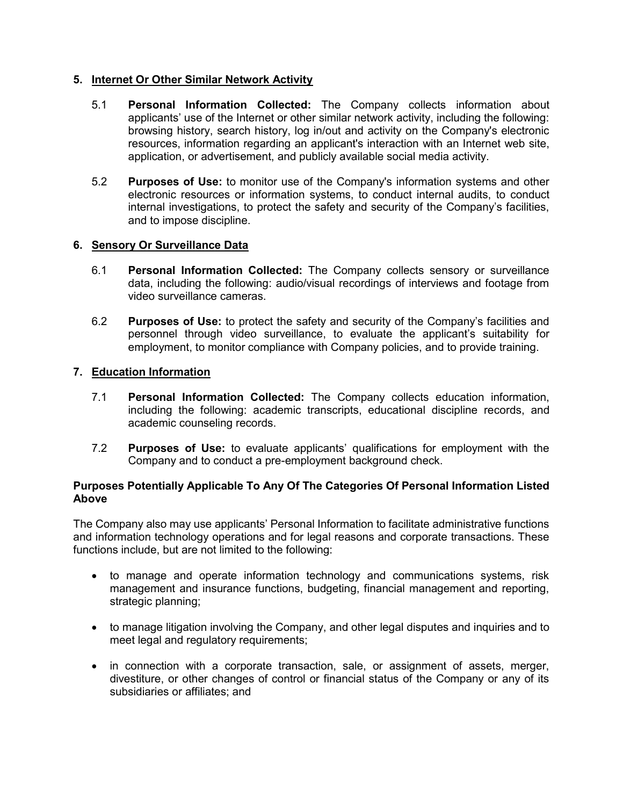### **5. Internet Or Other Similar Network Activity**

- 5.1 **Personal Information Collected:** The Company collects information about applicants' use of the Internet or other similar network activity, including the following: browsing history, search history, log in/out and activity on the Company's electronic resources, information regarding an applicant's interaction with an Internet web site, application, or advertisement, and publicly available social media activity.
- 5.2 **Purposes of Use:** to monitor use of the Company's information systems and other electronic resources or information systems, to conduct internal audits, to conduct internal investigations, to protect the safety and security of the Company's facilities, and to impose discipline.

### **6. Sensory Or Surveillance Data**

- 6.1 **Personal Information Collected:** The Company collects sensory or surveillance data, including the following: audio/visual recordings of interviews and footage from video surveillance cameras.
- 6.2 **Purposes of Use:** to protect the safety and security of the Company's facilities and personnel through video surveillance, to evaluate the applicant's suitability for employment, to monitor compliance with Company policies, and to provide training.

## **7. Education Information**

- 7.1 **Personal Information Collected:** The Company collects education information, including the following: academic transcripts, educational discipline records, and academic counseling records.
- 7.2 **Purposes of Use:** to evaluate applicants' qualifications for employment with the Company and to conduct a pre-employment background check.

#### **Purposes Potentially Applicable To Any Of The Categories Of Personal Information Listed Above**

The Company also may use applicants' Personal Information to facilitate administrative functions and information technology operations and for legal reasons and corporate transactions. These functions include, but are not limited to the following:

- to manage and operate information technology and communications systems, risk management and insurance functions, budgeting, financial management and reporting, strategic planning;
- to manage litigation involving the Company, and other legal disputes and inquiries and to meet legal and regulatory requirements;
- in connection with a corporate transaction, sale, or assignment of assets, merger, divestiture, or other changes of control or financial status of the Company or any of its subsidiaries or affiliates; and